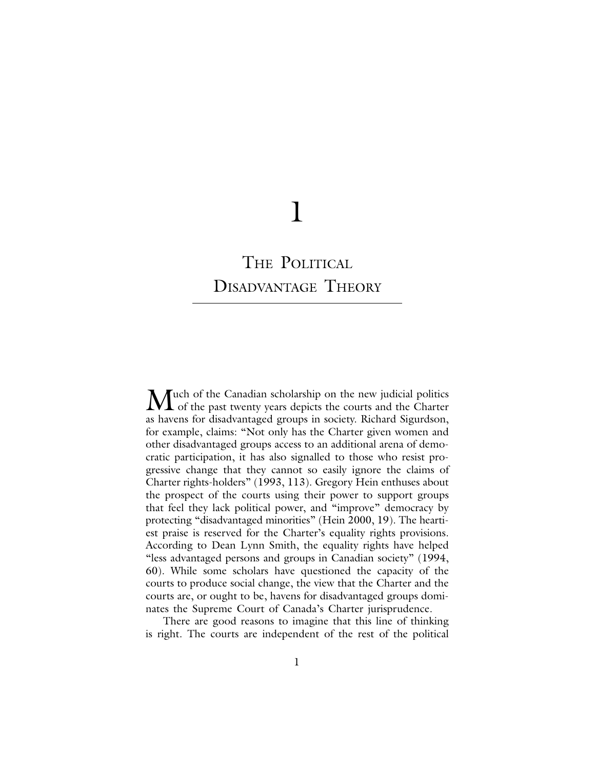# 1

## THE POLITICAL DISADVANTAGE THEORY

uch of the Canadian scholarship on the new judicial politics  $M$ uch of the Canadian scholarship on the new judicial politics<br>
of the past twenty years depicts the courts and the Charter as havens for disadvantaged groups in society. Richard Sigurdson, for example, claims: "Not only has the Charter given women and other disadvantaged groups access to an additional arena of democratic participation, it has also signalled to those who resist progressive change that they cannot so easily ignore the claims of Charter rights-holders" (1993, 113). Gregory Hein enthuses about the prospect of the courts using their power to support groups that feel they lack political power, and "improve" democracy by protecting "disadvantaged minorities" (Hein 2000, 19). The heartiest praise is reserved for the Charter's equality rights provisions. According to Dean Lynn Smith, the equality rights have helped "less advantaged persons and groups in Canadian society" (1994, 60). While some scholars have questioned the capacity of the courts to produce social change, the view that the Charter and the courts are, or ought to be, havens for disadvantaged groups dominates the Supreme Court of Canada's Charter jurisprudence.

There are good reasons to imagine that this line of thinking is right. The courts are independent of the rest of the political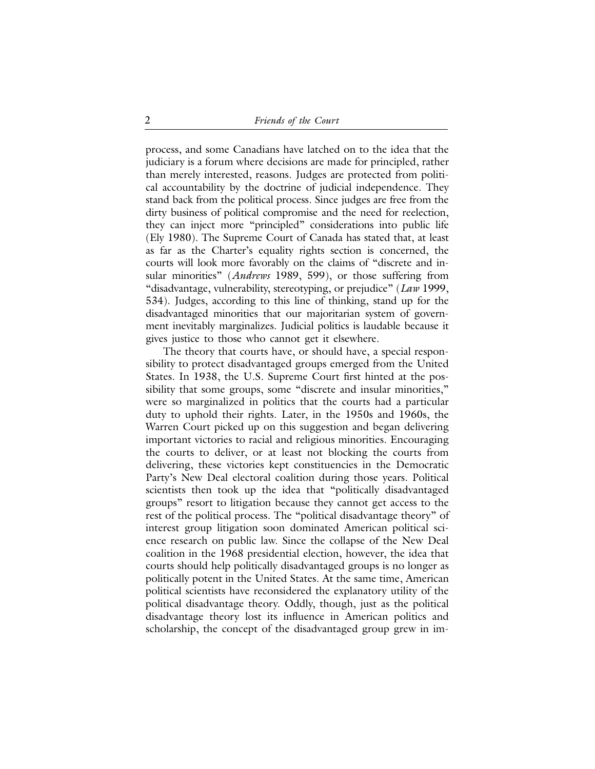process, and some Canadians have latched on to the idea that the judiciary is a forum where decisions are made for principled, rather than merely interested, reasons. Judges are protected from political accountability by the doctrine of judicial independence. They stand back from the political process. Since judges are free from the dirty business of political compromise and the need for reelection, they can inject more "principled" considerations into public life (Ely 1980). The Supreme Court of Canada has stated that, at least as far as the Charter's equality rights section is concerned, the courts will look more favorably on the claims of "discrete and insular minorities" (*Andrews* 1989, 599), or those suffering from "disadvantage, vulnerability, stereotyping, or prejudice" (*Law* 1999, 534). Judges, according to this line of thinking, stand up for the disadvantaged minorities that our majoritarian system of government inevitably marginalizes. Judicial politics is laudable because it gives justice to those who cannot get it elsewhere.

The theory that courts have, or should have, a special responsibility to protect disadvantaged groups emerged from the United States. In 1938, the U.S. Supreme Court first hinted at the possibility that some groups, some "discrete and insular minorities," were so marginalized in politics that the courts had a particular duty to uphold their rights. Later, in the 1950s and 1960s, the Warren Court picked up on this suggestion and began delivering important victories to racial and religious minorities. Encouraging the courts to deliver, or at least not blocking the courts from delivering, these victories kept constituencies in the Democratic Party's New Deal electoral coalition during those years. Political scientists then took up the idea that "politically disadvantaged groups" resort to litigation because they cannot get access to the rest of the political process. The "political disadvantage theory" of interest group litigation soon dominated American political science research on public law. Since the collapse of the New Deal coalition in the 1968 presidential election, however, the idea that courts should help politically disadvantaged groups is no longer as politically potent in the United States. At the same time, American political scientists have reconsidered the explanatory utility of the political disadvantage theory. Oddly, though, just as the political disadvantage theory lost its influence in American politics and scholarship, the concept of the disadvantaged group grew in im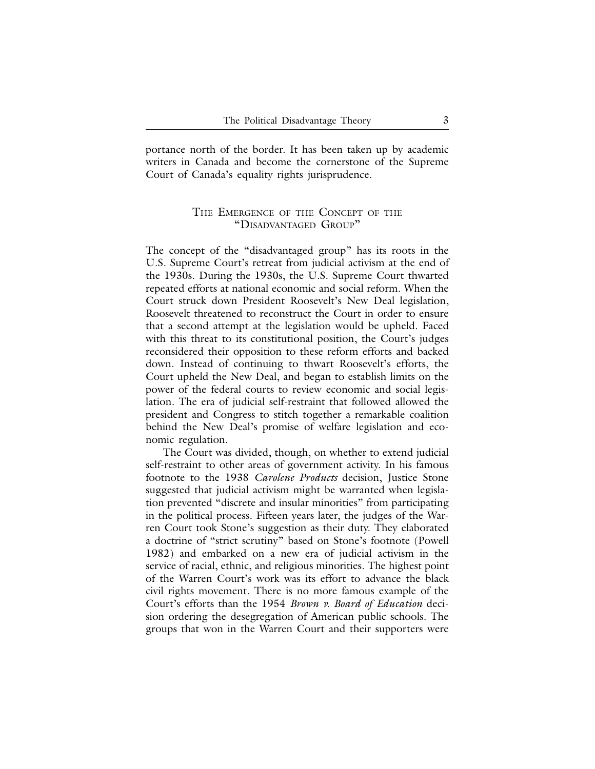portance north of the border. It has been taken up by academic writers in Canada and become the cornerstone of the Supreme Court of Canada's equality rights jurisprudence.

#### THE EMERGENCE OF THE CONCEPT OF THE "DISADVANTAGED GROUP"

The concept of the "disadvantaged group" has its roots in the U.S. Supreme Court's retreat from judicial activism at the end of the 1930s. During the 1930s, the U.S. Supreme Court thwarted repeated efforts at national economic and social reform. When the Court struck down President Roosevelt's New Deal legislation, Roosevelt threatened to reconstruct the Court in order to ensure that a second attempt at the legislation would be upheld. Faced with this threat to its constitutional position, the Court's judges reconsidered their opposition to these reform efforts and backed down. Instead of continuing to thwart Roosevelt's efforts, the Court upheld the New Deal, and began to establish limits on the power of the federal courts to review economic and social legislation. The era of judicial self-restraint that followed allowed the president and Congress to stitch together a remarkable coalition behind the New Deal's promise of welfare legislation and economic regulation.

The Court was divided, though, on whether to extend judicial self-restraint to other areas of government activity. In his famous footnote to the 1938 *Carolene Products* decision, Justice Stone suggested that judicial activism might be warranted when legislation prevented "discrete and insular minorities" from participating in the political process. Fifteen years later, the judges of the Warren Court took Stone's suggestion as their duty. They elaborated a doctrine of "strict scrutiny" based on Stone's footnote (Powell 1982) and embarked on a new era of judicial activism in the service of racial, ethnic, and religious minorities. The highest point of the Warren Court's work was its effort to advance the black civil rights movement. There is no more famous example of the Court's efforts than the 1954 *Brown v. Board of Education* decision ordering the desegregation of American public schools. The groups that won in the Warren Court and their supporters were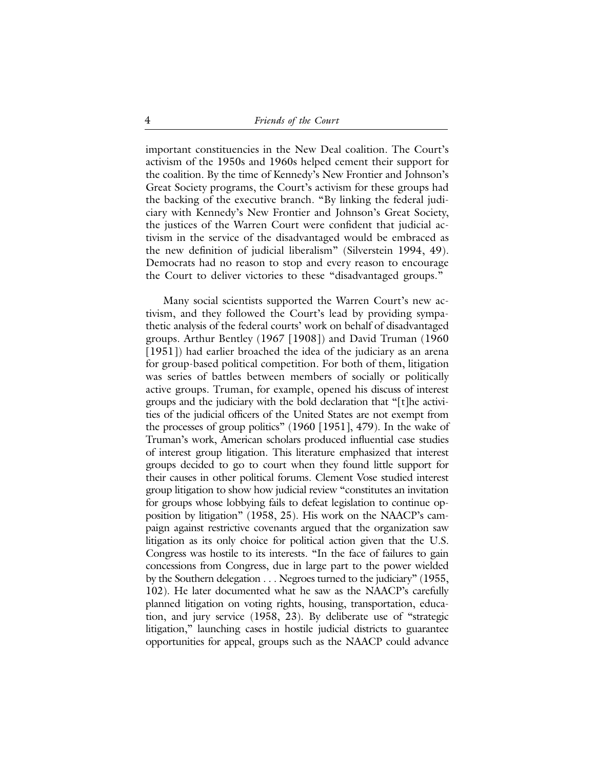important constituencies in the New Deal coalition. The Court's activism of the 1950s and 1960s helped cement their support for the coalition. By the time of Kennedy's New Frontier and Johnson's Great Society programs, the Court's activism for these groups had the backing of the executive branch. "By linking the federal judiciary with Kennedy's New Frontier and Johnson's Great Society, the justices of the Warren Court were confident that judicial activism in the service of the disadvantaged would be embraced as the new definition of judicial liberalism" (Silverstein 1994, 49). Democrats had no reason to stop and every reason to encourage the Court to deliver victories to these "disadvantaged groups."

Many social scientists supported the Warren Court's new activism, and they followed the Court's lead by providing sympathetic analysis of the federal courts' work on behalf of disadvantaged groups. Arthur Bentley (1967 [1908]) and David Truman (1960 [1951]) had earlier broached the idea of the judiciary as an arena for group-based political competition. For both of them, litigation was series of battles between members of socially or politically active groups. Truman, for example, opened his discuss of interest groups and the judiciary with the bold declaration that "[t]he activities of the judicial officers of the United States are not exempt from the processes of group politics" (1960 [1951], 479). In the wake of Truman's work, American scholars produced influential case studies of interest group litigation. This literature emphasized that interest groups decided to go to court when they found little support for their causes in other political forums. Clement Vose studied interest group litigation to show how judicial review "constitutes an invitation for groups whose lobbying fails to defeat legislation to continue opposition by litigation" (1958, 25). His work on the NAACP's campaign against restrictive covenants argued that the organization saw litigation as its only choice for political action given that the U.S. Congress was hostile to its interests. "In the face of failures to gain concessions from Congress, due in large part to the power wielded by the Southern delegation . . . Negroes turned to the judiciary" (1955, 102). He later documented what he saw as the NAACP's carefully planned litigation on voting rights, housing, transportation, education, and jury service (1958, 23). By deliberate use of "strategic litigation," launching cases in hostile judicial districts to guarantee opportunities for appeal, groups such as the NAACP could advance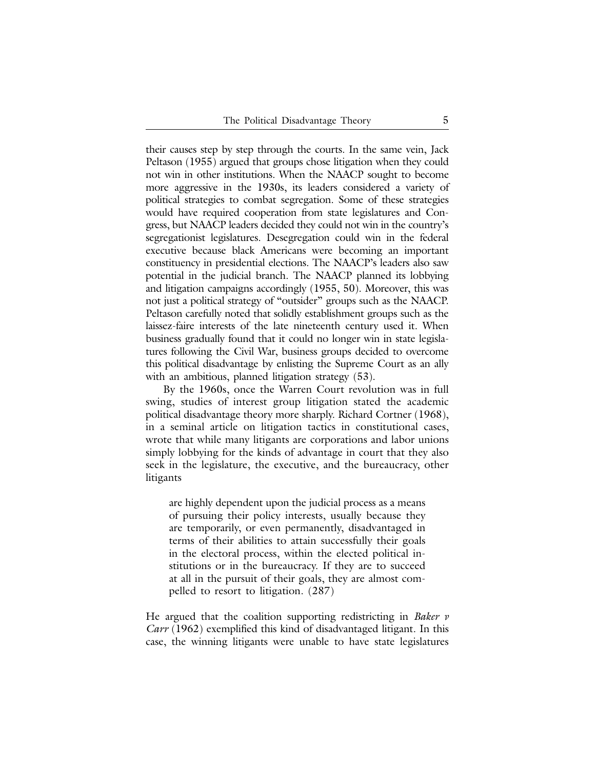their causes step by step through the courts. In the same vein, Jack Peltason (1955) argued that groups chose litigation when they could not win in other institutions. When the NAACP sought to become more aggressive in the 1930s, its leaders considered a variety of political strategies to combat segregation. Some of these strategies would have required cooperation from state legislatures and Congress, but NAACP leaders decided they could not win in the country's segregationist legislatures. Desegregation could win in the federal executive because black Americans were becoming an important constituency in presidential elections. The NAACP's leaders also saw potential in the judicial branch. The NAACP planned its lobbying and litigation campaigns accordingly (1955, 50). Moreover, this was not just a political strategy of "outsider" groups such as the NAACP. Peltason carefully noted that solidly establishment groups such as the laissez-faire interests of the late nineteenth century used it. When business gradually found that it could no longer win in state legislatures following the Civil War, business groups decided to overcome this political disadvantage by enlisting the Supreme Court as an ally with an ambitious, planned litigation strategy (53).

By the 1960s, once the Warren Court revolution was in full swing, studies of interest group litigation stated the academic political disadvantage theory more sharply. Richard Cortner (1968), in a seminal article on litigation tactics in constitutional cases, wrote that while many litigants are corporations and labor unions simply lobbying for the kinds of advantage in court that they also seek in the legislature, the executive, and the bureaucracy, other litigants

are highly dependent upon the judicial process as a means of pursuing their policy interests, usually because they are temporarily, or even permanently, disadvantaged in terms of their abilities to attain successfully their goals in the electoral process, within the elected political institutions or in the bureaucracy. If they are to succeed at all in the pursuit of their goals, they are almost compelled to resort to litigation. (287)

He argued that the coalition supporting redistricting in *Baker v Carr* (1962) exemplified this kind of disadvantaged litigant. In this case, the winning litigants were unable to have state legislatures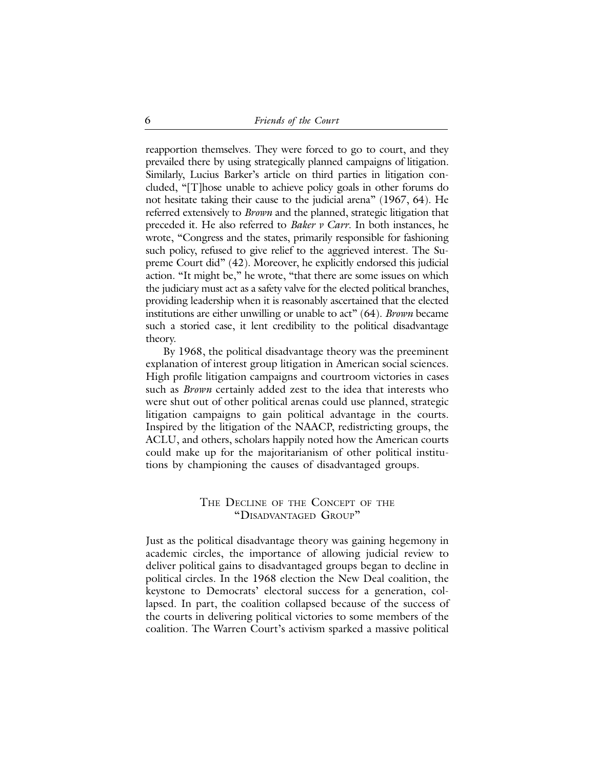reapportion themselves. They were forced to go to court, and they prevailed there by using strategically planned campaigns of litigation. Similarly, Lucius Barker's article on third parties in litigation concluded, "[T]hose unable to achieve policy goals in other forums do not hesitate taking their cause to the judicial arena" (1967, 64). He referred extensively to *Brown* and the planned, strategic litigation that preceded it. He also referred to *Baker v Carr*. In both instances, he wrote, "Congress and the states, primarily responsible for fashioning such policy, refused to give relief to the aggrieved interest. The Supreme Court did" (42). Moreover, he explicitly endorsed this judicial action. "It might be," he wrote, "that there are some issues on which the judiciary must act as a safety valve for the elected political branches, providing leadership when it is reasonably ascertained that the elected institutions are either unwilling or unable to act" (64). *Brown* became such a storied case, it lent credibility to the political disadvantage theory.

By 1968, the political disadvantage theory was the preeminent explanation of interest group litigation in American social sciences. High profile litigation campaigns and courtroom victories in cases such as *Brown* certainly added zest to the idea that interests who were shut out of other political arenas could use planned, strategic litigation campaigns to gain political advantage in the courts. Inspired by the litigation of the NAACP, redistricting groups, the ACLU, and others, scholars happily noted how the American courts could make up for the majoritarianism of other political institutions by championing the causes of disadvantaged groups.

#### THE DECLINE OF THE CONCEPT OF THE "DISADVANTAGED GROUP"

Just as the political disadvantage theory was gaining hegemony in academic circles, the importance of allowing judicial review to deliver political gains to disadvantaged groups began to decline in political circles. In the 1968 election the New Deal coalition, the keystone to Democrats' electoral success for a generation, collapsed. In part, the coalition collapsed because of the success of the courts in delivering political victories to some members of the coalition. The Warren Court's activism sparked a massive political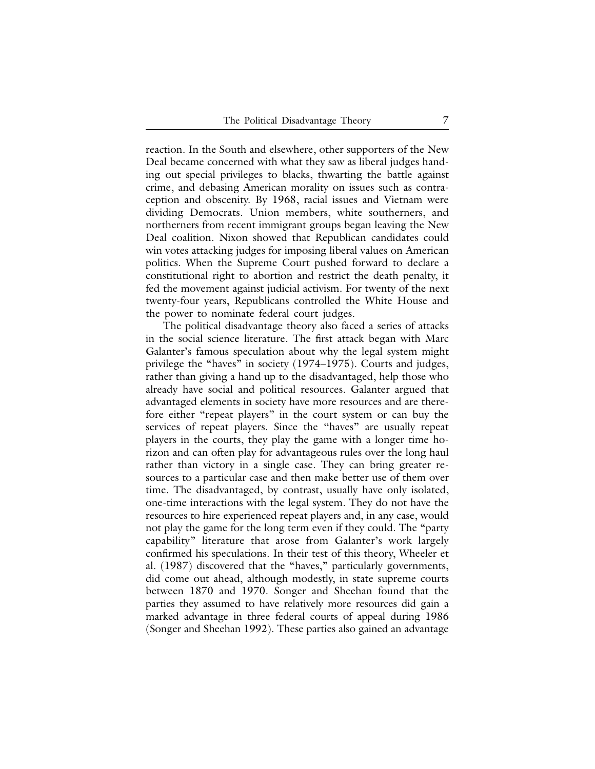reaction. In the South and elsewhere, other supporters of the New Deal became concerned with what they saw as liberal judges handing out special privileges to blacks, thwarting the battle against crime, and debasing American morality on issues such as contraception and obscenity. By 1968, racial issues and Vietnam were dividing Democrats. Union members, white southerners, and northerners from recent immigrant groups began leaving the New Deal coalition. Nixon showed that Republican candidates could win votes attacking judges for imposing liberal values on American politics. When the Supreme Court pushed forward to declare a constitutional right to abortion and restrict the death penalty, it fed the movement against judicial activism. For twenty of the next twenty-four years, Republicans controlled the White House and the power to nominate federal court judges.

The political disadvantage theory also faced a series of attacks in the social science literature. The first attack began with Marc Galanter's famous speculation about why the legal system might privilege the "haves" in society (1974–1975). Courts and judges, rather than giving a hand up to the disadvantaged, help those who already have social and political resources. Galanter argued that advantaged elements in society have more resources and are therefore either "repeat players" in the court system or can buy the services of repeat players. Since the "haves" are usually repeat players in the courts, they play the game with a longer time horizon and can often play for advantageous rules over the long haul rather than victory in a single case. They can bring greater resources to a particular case and then make better use of them over time. The disadvantaged, by contrast, usually have only isolated, one-time interactions with the legal system. They do not have the resources to hire experienced repeat players and, in any case, would not play the game for the long term even if they could. The "party capability" literature that arose from Galanter's work largely confirmed his speculations. In their test of this theory, Wheeler et al. (1987) discovered that the "haves," particularly governments, did come out ahead, although modestly, in state supreme courts between 1870 and 1970. Songer and Sheehan found that the parties they assumed to have relatively more resources did gain a marked advantage in three federal courts of appeal during 1986 (Songer and Sheehan 1992). These parties also gained an advantage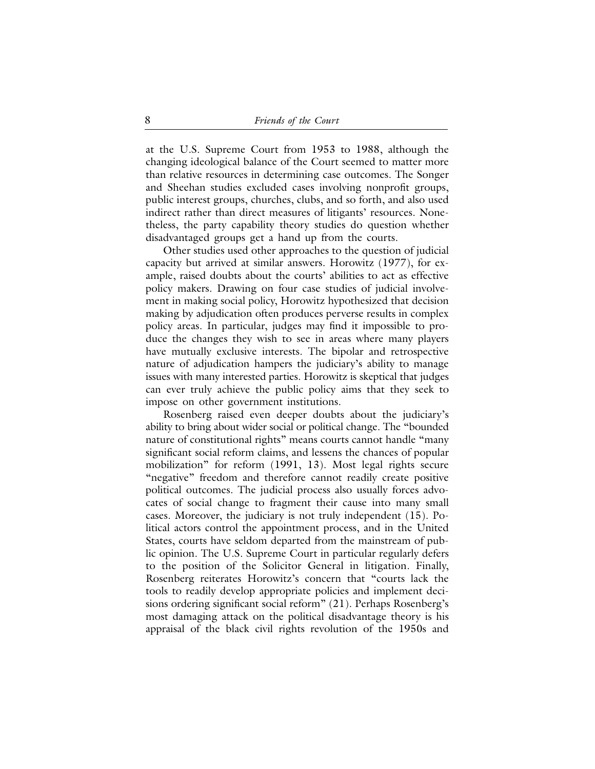at the U.S. Supreme Court from 1953 to 1988, although the changing ideological balance of the Court seemed to matter more than relative resources in determining case outcomes. The Songer and Sheehan studies excluded cases involving nonprofit groups, public interest groups, churches, clubs, and so forth, and also used indirect rather than direct measures of litigants' resources. Nonetheless, the party capability theory studies do question whether disadvantaged groups get a hand up from the courts.

Other studies used other approaches to the question of judicial capacity but arrived at similar answers. Horowitz (1977), for example, raised doubts about the courts' abilities to act as effective policy makers. Drawing on four case studies of judicial involvement in making social policy, Horowitz hypothesized that decision making by adjudication often produces perverse results in complex policy areas. In particular, judges may find it impossible to produce the changes they wish to see in areas where many players have mutually exclusive interests. The bipolar and retrospective nature of adjudication hampers the judiciary's ability to manage issues with many interested parties. Horowitz is skeptical that judges can ever truly achieve the public policy aims that they seek to impose on other government institutions.

Rosenberg raised even deeper doubts about the judiciary's ability to bring about wider social or political change. The "bounded nature of constitutional rights" means courts cannot handle "many significant social reform claims, and lessens the chances of popular mobilization" for reform (1991, 13). Most legal rights secure "negative" freedom and therefore cannot readily create positive political outcomes. The judicial process also usually forces advocates of social change to fragment their cause into many small cases. Moreover, the judiciary is not truly independent (15). Political actors control the appointment process, and in the United States, courts have seldom departed from the mainstream of public opinion. The U.S. Supreme Court in particular regularly defers to the position of the Solicitor General in litigation. Finally, Rosenberg reiterates Horowitz's concern that "courts lack the tools to readily develop appropriate policies and implement decisions ordering significant social reform" (21). Perhaps Rosenberg's most damaging attack on the political disadvantage theory is his appraisal of the black civil rights revolution of the 1950s and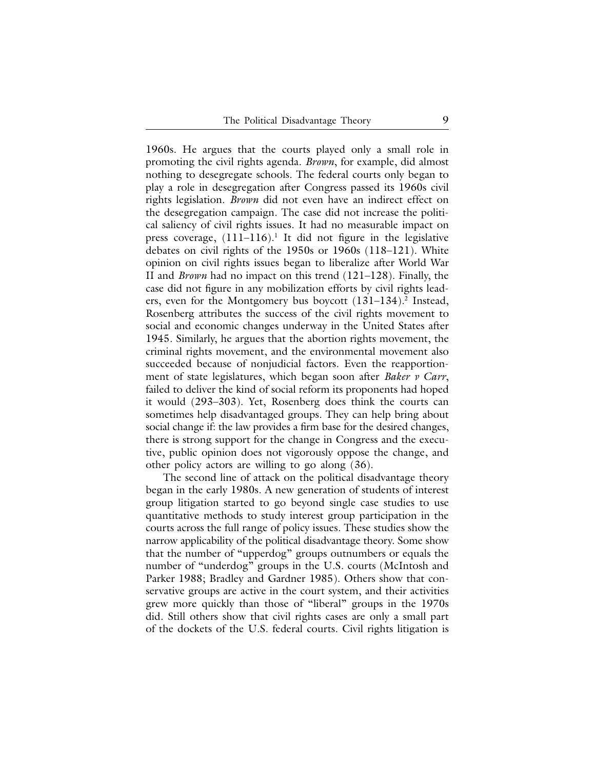1960s. He argues that the courts played only a small role in promoting the civil rights agenda. *Brown*, for example, did almost nothing to desegregate schools. The federal courts only began to play a role in desegregation after Congress passed its 1960s civil rights legislation. *Brown* did not even have an indirect effect on the desegregation campaign. The case did not increase the political saliency of civil rights issues. It had no measurable impact on press coverage,  $(111-116)$ .<sup>1</sup> It did not figure in the legislative debates on civil rights of the 1950s or 1960s (118–121). White opinion on civil rights issues began to liberalize after World War II and *Brown* had no impact on this trend (121–128). Finally, the case did not figure in any mobilization efforts by civil rights leaders, even for the Montgomery bus boycott (131–134).<sup>2</sup> Instead, Rosenberg attributes the success of the civil rights movement to social and economic changes underway in the United States after 1945. Similarly, he argues that the abortion rights movement, the criminal rights movement, and the environmental movement also succeeded because of nonjudicial factors. Even the reapportionment of state legislatures, which began soon after *Baker v Carr*, failed to deliver the kind of social reform its proponents had hoped it would (293–303). Yet, Rosenberg does think the courts can sometimes help disadvantaged groups. They can help bring about social change if: the law provides a firm base for the desired changes, there is strong support for the change in Congress and the executive, public opinion does not vigorously oppose the change, and other policy actors are willing to go along (36).

The second line of attack on the political disadvantage theory began in the early 1980s. A new generation of students of interest group litigation started to go beyond single case studies to use quantitative methods to study interest group participation in the courts across the full range of policy issues. These studies show the narrow applicability of the political disadvantage theory. Some show that the number of "upperdog" groups outnumbers or equals the number of "underdog" groups in the U.S. courts (McIntosh and Parker 1988; Bradley and Gardner 1985). Others show that conservative groups are active in the court system, and their activities grew more quickly than those of "liberal" groups in the 1970s did. Still others show that civil rights cases are only a small part of the dockets of the U.S. federal courts. Civil rights litigation is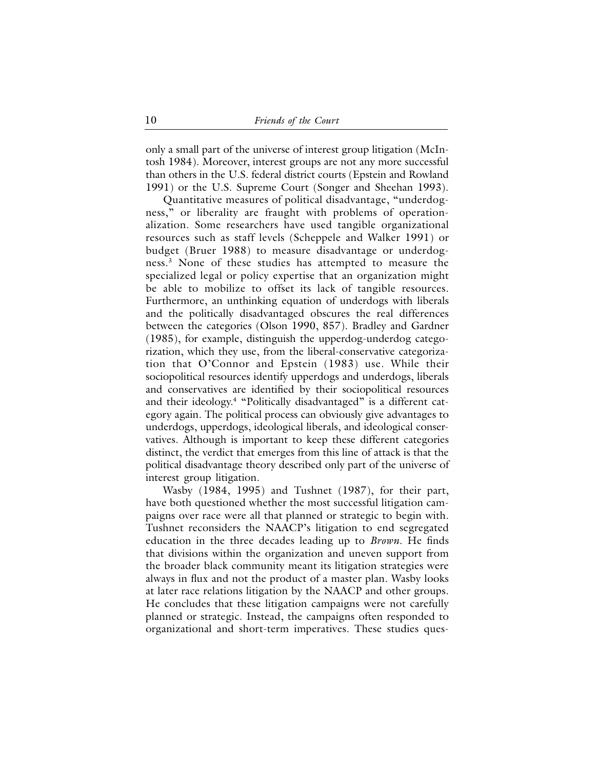only a small part of the universe of interest group litigation (McIntosh 1984). Moreover, interest groups are not any more successful than others in the U.S. federal district courts (Epstein and Rowland 1991) or the U.S. Supreme Court (Songer and Sheehan 1993).

Quantitative measures of political disadvantage, "underdogness," or liberality are fraught with problems of operationalization. Some researchers have used tangible organizational resources such as staff levels (Scheppele and Walker 1991) or budget (Bruer 1988) to measure disadvantage or underdogness.3 None of these studies has attempted to measure the specialized legal or policy expertise that an organization might be able to mobilize to offset its lack of tangible resources. Furthermore, an unthinking equation of underdogs with liberals and the politically disadvantaged obscures the real differences between the categories (Olson 1990, 857). Bradley and Gardner (1985), for example, distinguish the upperdog-underdog categorization, which they use, from the liberal-conservative categorization that O'Connor and Epstein (1983) use. While their sociopolitical resources identify upperdogs and underdogs, liberals and conservatives are identified by their sociopolitical resources and their ideology.<sup>4</sup> "Politically disadvantaged" is a different category again. The political process can obviously give advantages to underdogs, upperdogs, ideological liberals, and ideological conservatives. Although is important to keep these different categories distinct, the verdict that emerges from this line of attack is that the political disadvantage theory described only part of the universe of interest group litigation.

Wasby (1984, 1995) and Tushnet (1987), for their part, have both questioned whether the most successful litigation campaigns over race were all that planned or strategic to begin with. Tushnet reconsiders the NAACP's litigation to end segregated education in the three decades leading up to *Brown*. He finds that divisions within the organization and uneven support from the broader black community meant its litigation strategies were always in flux and not the product of a master plan. Wasby looks at later race relations litigation by the NAACP and other groups. He concludes that these litigation campaigns were not carefully planned or strategic. Instead, the campaigns often responded to organizational and short-term imperatives. These studies ques-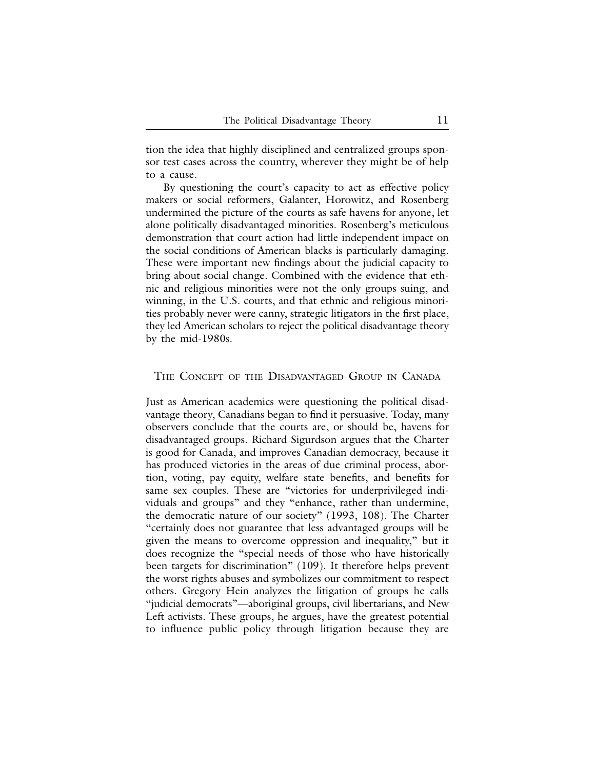tion the idea that highly disciplined and centralized groups sponsor test cases across the country, wherever they might be of help to a cause.

By questioning the court's capacity to act as effective policy makers or social reformers, Galanter, Horowitz, and Rosenberg undermined the picture of the courts as safe havens for anyone, let alone politically disadvantaged minorities. Rosenberg's meticulous demonstration that court action had little independent impact on the social conditions of American blacks is particularly damaging. These were important new findings about the judicial capacity to bring about social change. Combined with the evidence that ethnic and religious minorities were not the only groups suing, and winning, in the U.S. courts, and that ethnic and religious minorities probably never were canny, strategic litigators in the first place, they led American scholars to reject the political disadvantage theory by the mid-1980s.

### THE CONCEPT OF THE DISADVANTAGED GROUP IN CANADA

Just as American academics were questioning the political disadvantage theory, Canadians began to find it persuasive. Today, many observers conclude that the courts are, or should be, havens for disadvantaged groups. Richard Sigurdson argues that the Charter is good for Canada, and improves Canadian democracy, because it has produced victories in the areas of due criminal process, abortion, voting, pay equity, welfare state benefits, and benefits for same sex couples. These are "victories for underprivileged individuals and groups" and they "enhance, rather than undermine, the democratic nature of our society" (1993, 108). The Charter "certainly does not guarantee that less advantaged groups will be given the means to overcome oppression and inequality," but it does recognize the "special needs of those who have historically been targets for discrimination" (109). It therefore helps prevent the worst rights abuses and symbolizes our commitment to respect others. Gregory Hein analyzes the litigation of groups he calls "judicial democrats"—aboriginal groups, civil libertarians, and New Left activists. These groups, he argues, have the greatest potential to influence public policy through litigation because they are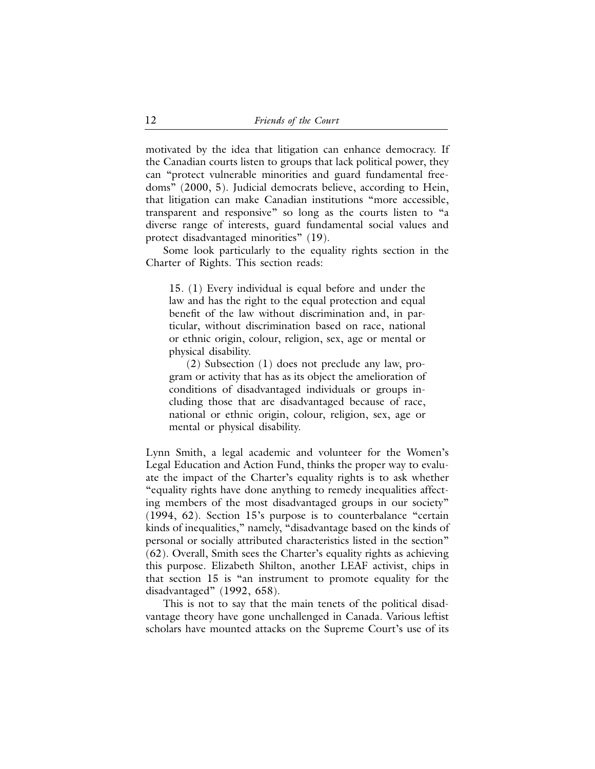motivated by the idea that litigation can enhance democracy. If the Canadian courts listen to groups that lack political power, they can "protect vulnerable minorities and guard fundamental freedoms" (2000, 5). Judicial democrats believe, according to Hein, that litigation can make Canadian institutions "more accessible, transparent and responsive" so long as the courts listen to "a diverse range of interests, guard fundamental social values and protect disadvantaged minorities" (19).

Some look particularly to the equality rights section in the Charter of Rights. This section reads:

15. (1) Every individual is equal before and under the law and has the right to the equal protection and equal benefit of the law without discrimination and, in particular, without discrimination based on race, national or ethnic origin, colour, religion, sex, age or mental or physical disability.

(2) Subsection (1) does not preclude any law, program or activity that has as its object the amelioration of conditions of disadvantaged individuals or groups including those that are disadvantaged because of race, national or ethnic origin, colour, religion, sex, age or mental or physical disability.

Lynn Smith, a legal academic and volunteer for the Women's Legal Education and Action Fund, thinks the proper way to evaluate the impact of the Charter's equality rights is to ask whether "equality rights have done anything to remedy inequalities affecting members of the most disadvantaged groups in our society" (1994, 62). Section 15's purpose is to counterbalance "certain kinds of inequalities," namely, "disadvantage based on the kinds of personal or socially attributed characteristics listed in the section" (62). Overall, Smith sees the Charter's equality rights as achieving this purpose. Elizabeth Shilton, another LEAF activist, chips in that section 15 is "an instrument to promote equality for the disadvantaged" (1992, 658).

This is not to say that the main tenets of the political disadvantage theory have gone unchallenged in Canada. Various leftist scholars have mounted attacks on the Supreme Court's use of its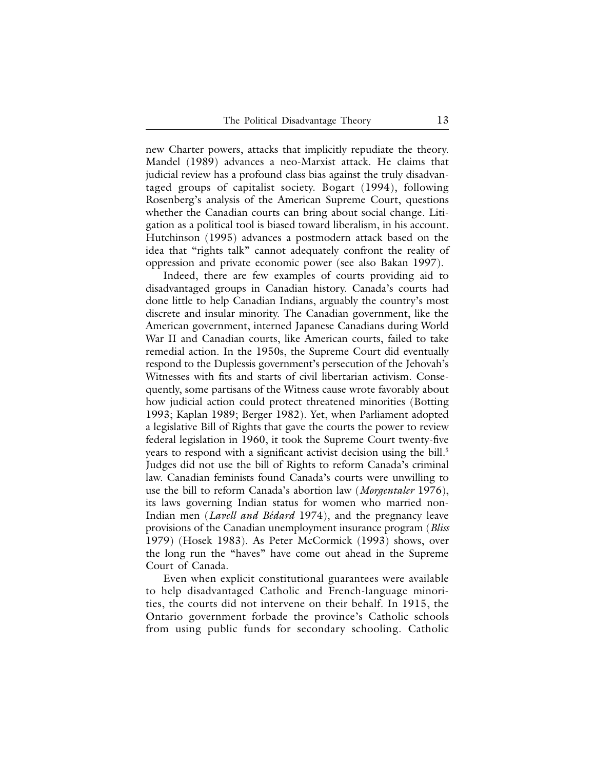new Charter powers, attacks that implicitly repudiate the theory. Mandel (1989) advances a neo-Marxist attack. He claims that judicial review has a profound class bias against the truly disadvantaged groups of capitalist society. Bogart (1994), following Rosenberg's analysis of the American Supreme Court, questions whether the Canadian courts can bring about social change. Litigation as a political tool is biased toward liberalism, in his account. Hutchinson (1995) advances a postmodern attack based on the idea that "rights talk" cannot adequately confront the reality of oppression and private economic power (see also Bakan 1997).

Indeed, there are few examples of courts providing aid to disadvantaged groups in Canadian history. Canada's courts had done little to help Canadian Indians, arguably the country's most discrete and insular minority. The Canadian government, like the American government, interned Japanese Canadians during World War II and Canadian courts, like American courts, failed to take remedial action. In the 1950s, the Supreme Court did eventually respond to the Duplessis government's persecution of the Jehovah's Witnesses with fits and starts of civil libertarian activism. Consequently, some partisans of the Witness cause wrote favorably about how judicial action could protect threatened minorities (Botting 1993; Kaplan 1989; Berger 1982). Yet, when Parliament adopted a legislative Bill of Rights that gave the courts the power to review federal legislation in 1960, it took the Supreme Court twenty-five years to respond with a significant activist decision using the bill.5 Judges did not use the bill of Rights to reform Canada's criminal law. Canadian feminists found Canada's courts were unwilling to use the bill to reform Canada's abortion law (*Morgentaler* 1976), its laws governing Indian status for women who married non-Indian men (*Lavell and Bédard* 1974), and the pregnancy leave provisions of the Canadian unemployment insurance program (*Bliss* 1979) (Hosek 1983). As Peter McCormick (1993) shows, over the long run the "haves" have come out ahead in the Supreme Court of Canada.

Even when explicit constitutional guarantees were available to help disadvantaged Catholic and French-language minorities, the courts did not intervene on their behalf. In 1915, the Ontario government forbade the province's Catholic schools from using public funds for secondary schooling. Catholic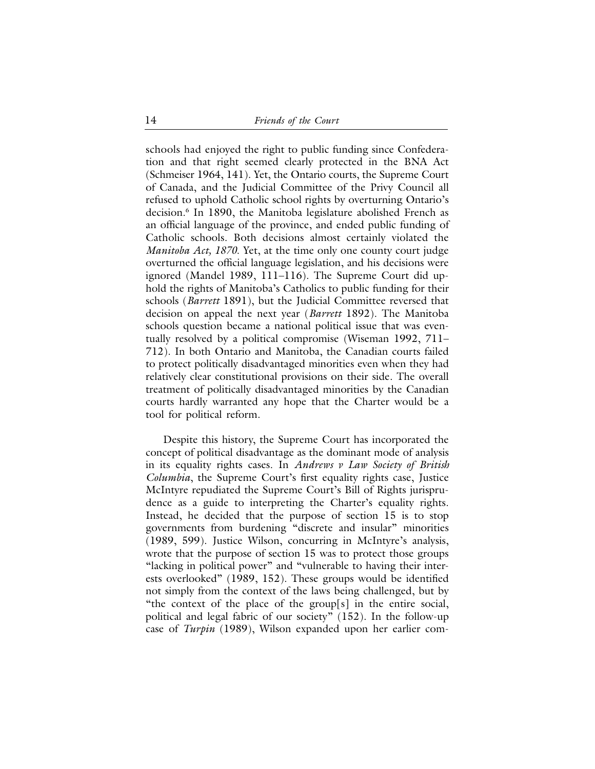schools had enjoyed the right to public funding since Confederation and that right seemed clearly protected in the BNA Act (Schmeiser 1964, 141). Yet, the Ontario courts, the Supreme Court of Canada, and the Judicial Committee of the Privy Council all refused to uphold Catholic school rights by overturning Ontario's decision.6 In 1890, the Manitoba legislature abolished French as an official language of the province, and ended public funding of Catholic schools. Both decisions almost certainly violated the *Manitoba Act, 1870*. Yet, at the time only one county court judge overturned the official language legislation, and his decisions were ignored (Mandel 1989, 111–116). The Supreme Court did uphold the rights of Manitoba's Catholics to public funding for their schools (*Barrett* 1891), but the Judicial Committee reversed that decision on appeal the next year (*Barrett* 1892). The Manitoba schools question became a national political issue that was eventually resolved by a political compromise (Wiseman 1992, 711– 712). In both Ontario and Manitoba, the Canadian courts failed to protect politically disadvantaged minorities even when they had relatively clear constitutional provisions on their side. The overall treatment of politically disadvantaged minorities by the Canadian courts hardly warranted any hope that the Charter would be a tool for political reform.

Despite this history, the Supreme Court has incorporated the concept of political disadvantage as the dominant mode of analysis in its equality rights cases. In *Andrews v Law Society of British Columbia*, the Supreme Court's first equality rights case, Justice McIntyre repudiated the Supreme Court's Bill of Rights jurisprudence as a guide to interpreting the Charter's equality rights. Instead, he decided that the purpose of section 15 is to stop governments from burdening "discrete and insular" minorities (1989, 599). Justice Wilson, concurring in McIntyre's analysis, wrote that the purpose of section 15 was to protect those groups "lacking in political power" and "vulnerable to having their interests overlooked" (1989, 152). These groups would be identified not simply from the context of the laws being challenged, but by "the context of the place of the group[s] in the entire social, political and legal fabric of our society" (152). In the follow-up case of *Turpin* (1989), Wilson expanded upon her earlier com-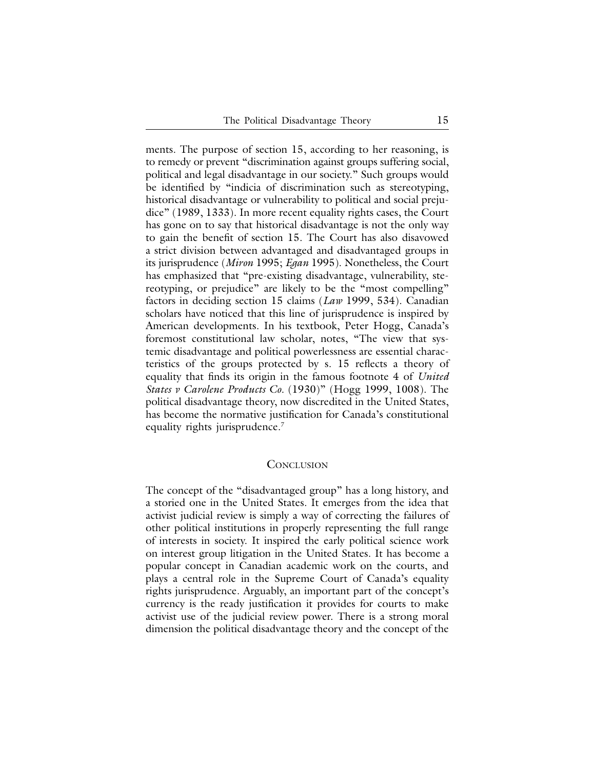ments. The purpose of section 15, according to her reasoning, is to remedy or prevent "discrimination against groups suffering social, political and legal disadvantage in our society." Such groups would be identified by "indicia of discrimination such as stereotyping, historical disadvantage or vulnerability to political and social prejudice" (1989, 1333). In more recent equality rights cases, the Court has gone on to say that historical disadvantage is not the only way to gain the benefit of section 15. The Court has also disavowed a strict division between advantaged and disadvantaged groups in its jurisprudence (*Miron* 1995; *Egan* 1995). Nonetheless, the Court has emphasized that "pre-existing disadvantage, vulnerability, stereotyping, or prejudice" are likely to be the "most compelling" factors in deciding section 15 claims (*Law* 1999, 534). Canadian scholars have noticed that this line of jurisprudence is inspired by American developments. In his textbook, Peter Hogg, Canada's foremost constitutional law scholar, notes, "The view that systemic disadvantage and political powerlessness are essential characteristics of the groups protected by s. 15 reflects a theory of equality that finds its origin in the famous footnote 4 of *United States v Carolene Products Co.* (1930)" (Hogg 1999, 1008). The political disadvantage theory, now discredited in the United States, has become the normative justification for Canada's constitutional equality rights jurisprudence.<sup>7</sup>

#### **CONCLUSION**

The concept of the "disadvantaged group" has a long history, and a storied one in the United States. It emerges from the idea that activist judicial review is simply a way of correcting the failures of other political institutions in properly representing the full range of interests in society. It inspired the early political science work on interest group litigation in the United States. It has become a popular concept in Canadian academic work on the courts, and plays a central role in the Supreme Court of Canada's equality rights jurisprudence. Arguably, an important part of the concept's currency is the ready justification it provides for courts to make activist use of the judicial review power. There is a strong moral dimension the political disadvantage theory and the concept of the